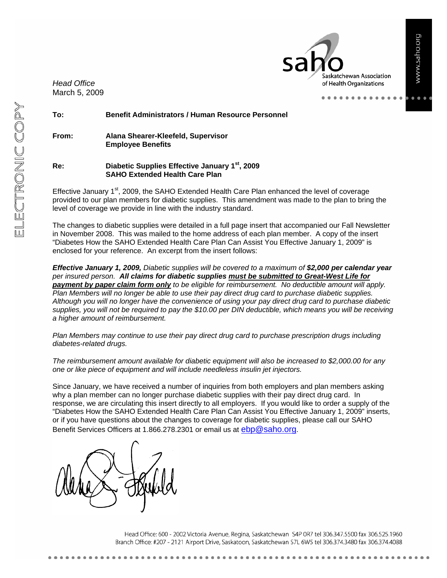*Head Office*  March 5, 2009

skatchewan Association of Health Organizations

 $- - - -$ 

**To: Benefit Administrators / Human Resource Personnel** 

**From: Alana Shearer-Kleefeld, Supervisor Employee Benefits** 

**Re: Diabetic Supplies Effective January 1st, 2009 SAHO Extended Health Care Plan** 

Effective January  $1<sup>st</sup>$ , 2009, the SAHO Extended Health Care Plan enhanced the level of coverage provided to our plan members for diabetic supplies. This amendment was made to the plan to bring the level of coverage we provide in line with the industry standard.

The changes to diabetic supplies were detailed in a full page insert that accompanied our Fall Newsletter in November 2008. This was mailed to the home address of each plan member. A copy of the insert "Diabetes How the SAHO Extended Health Care Plan Can Assist You Effective January 1, 2009" is enclosed for your reference. An excerpt from the insert follows:

*Effective January 1, 2009, Diabetic supplies will be covered to a maximum of \$2,000 per calendar year per insured person. All claims for diabetic supplies must be submitted to Great-West Life for payment by paper claim form only to be eligible for reimbursement. No deductible amount will apply. Plan Members will no longer be able to use their pay direct drug card to purchase diabetic supplies. Although you will no longer have the convenience of using your pay direct drug card to purchase diabetic supplies, you will not be required to pay the \$10.00 per DIN deductible, which means you will be receiving a higher amount of reimbursement.* 

*Plan Members may continue to use their pay direct drug card to purchase prescription drugs including diabetes-related drugs.* 

*The reimbursement amount available for diabetic equipment will also be increased to \$2,000.00 for any one or like piece of equipment and will include needleless insulin jet injectors.* 

Since January, we have received a number of inquiries from both employers and plan members asking why a plan member can no longer purchase diabetic supplies with their pay direct drug card. In response, we are circulating this insert directly to all employers. If you would like to order a supply of the "Diabetes How the SAHO Extended Health Care Plan Can Assist You Effective January 1, 2009" inserts, or if you have questions about the changes to coverage for diabetic supplies, please call our SAHO Benefit Services Officers at 1.866.278.2301 or email us at ebp@saho.org.

Head Office: 600 - 2002 Victoria Avenue, Regina, Saskatchewan S4P 0R7 tel 306.347.5500 fax 306.525.1960 Branch Office: #207 - 2121 Airport Drive, Saskatoon, Saskatchewan S7L 6W5 tel 306.374.3480 fax 306.374.4088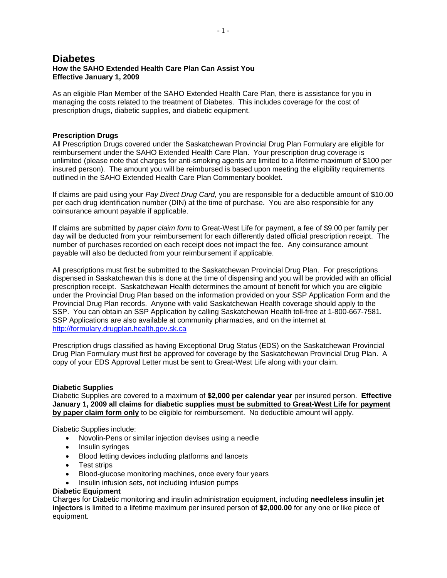# **Diabetes How the SAHO Extended Health Care Plan Can Assist You Effective January 1, 2009**

As an eligible Plan Member of the SAHO Extended Health Care Plan, there is assistance for you in managing the costs related to the treatment of Diabetes. This includes coverage for the cost of prescription drugs, diabetic supplies, and diabetic equipment.

#### **Prescription Drugs**

All Prescription Drugs covered under the Saskatchewan Provincial Drug Plan Formulary are eligible for reimbursement under the SAHO Extended Health Care Plan. Your prescription drug coverage is unlimited (please note that charges for anti-smoking agents are limited to a lifetime maximum of \$100 per insured person). The amount you will be reimbursed is based upon meeting the eligibility requirements outlined in the SAHO Extended Health Care Plan Commentary booklet.

If claims are paid using your *Pay Direct Drug Card,* you are responsible for a deductible amount of \$10.00 per each drug identification number (DIN) at the time of purchase. You are also responsible for any coinsurance amount payable if applicable.

If claims are submitted by *paper claim form* to Great-West Life for payment, a fee of \$9.00 per family per day will be deducted from your reimbursement for each differently dated official prescription receipt. The number of purchases recorded on each receipt does not impact the fee. Any coinsurance amount payable will also be deducted from your reimbursement if applicable.

All prescriptions must first be submitted to the Saskatchewan Provincial Drug Plan. For prescriptions dispensed in Saskatchewan this is done at the time of dispensing and you will be provided with an official prescription receipt. Saskatchewan Health determines the amount of benefit for which you are eligible under the Provincial Drug Plan based on the information provided on your SSP Application Form and the Provincial Drug Plan records. Anyone with valid Saskatchewan Health coverage should apply to the SSP. You can obtain an SSP Application by calling Saskatchewan Health toll-free at 1-800-667-7581. SSP Applications are also available at community pharmacies, and on the internet at http://formulary.drugplan.health.gov.sk.ca

Prescription drugs classified as having Exceptional Drug Status (EDS) on the Saskatchewan Provincial Drug Plan Formulary must first be approved for coverage by the Saskatchewan Provincial Drug Plan. A copy of your EDS Approval Letter must be sent to Great-West Life along with your claim.

#### **Diabetic Supplies**

Diabetic Supplies are covered to a maximum of **\$2,000 per calendar year** per insured person. **Effective January 1, 2009 all claims for diabetic supplies must be submitted to Great-West Life for payment by paper claim form only** to be eligible for reimbursement. No deductible amount will apply.

Diabetic Supplies include:

- Novolin-Pens or similar injection devises using a needle
- Insulin syringes
- Blood letting devices including platforms and lancets
- Test strips
- Blood-glucose monitoring machines, once every four years
- Insulin infusion sets, not including infusion pumps

#### **Diabetic Equipment**

Charges for Diabetic monitoring and insulin administration equipment, including **needleless insulin jet injectors** is limited to a lifetime maximum per insured person of **\$2,000.00** for any one or like piece of equipment.